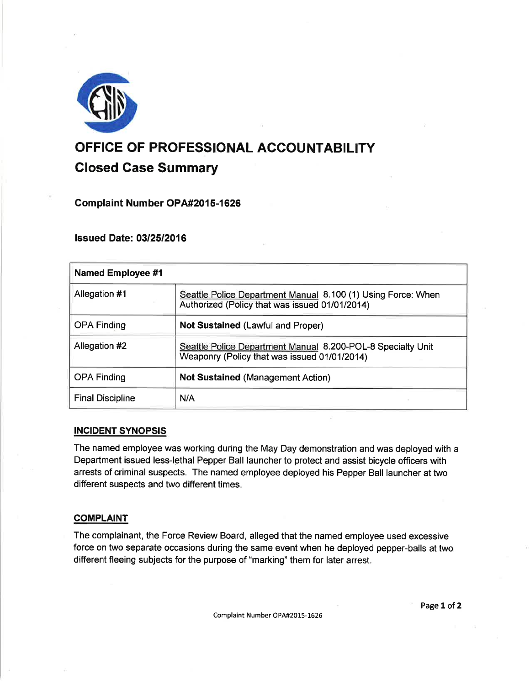

# OFFICE OF PROFESSIONAL ACCOUNTABILITY Glosed Gase Summary

**Complaint Number OPA#2015-1626** 

lssued Date: 0312512016

| <b>Named Employee #1</b> |                                                                                                                |
|--------------------------|----------------------------------------------------------------------------------------------------------------|
| Allegation #1            | Seattle Police Department Manual 8.100 (1) Using Force: When<br>Authorized (Policy that was issued 01/01/2014) |
| <b>OPA Finding</b>       | <b>Not Sustained (Lawful and Proper)</b>                                                                       |
| Allegation #2            | Seattle Police Department Manual 8.200-POL-8 Specialty Unit<br>Weaponry (Policy that was issued 01/01/2014)    |
| <b>OPA Finding</b>       | <b>Not Sustained (Management Action)</b>                                                                       |
| <b>Final Discipline</b>  | N/A                                                                                                            |

# INCIDENT SYNOPSIS

The named employee was working during the May Day demonstration and was deployed with a Department issued less-lethal Pepper Ball launcher to protect and assist bicycle officers with arrests of criminal suspects. The named employee deployed his Pepper Ball launcher at two different suspects and two different times.

# **COMPLAINT**

The complainant, the Force Review Board, alleged that the named employee used excessive force on two separate occasions during the same event when he deployed pepper-balls at two different fleeing subjects for the purpose of "marking" them for later arrest.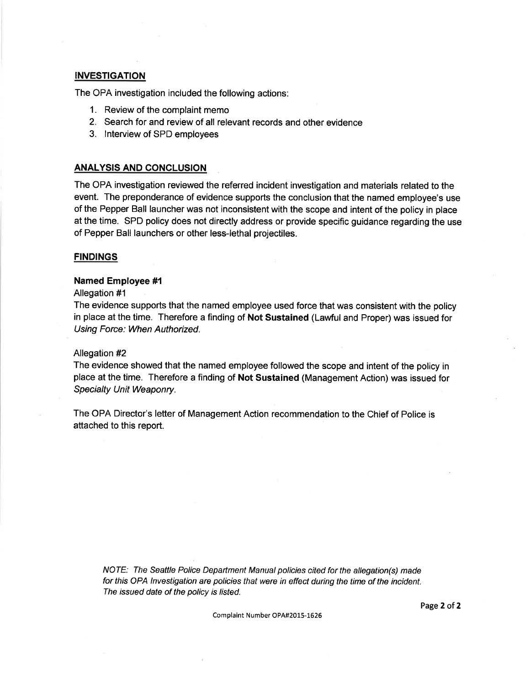### **INVESTIGATION**

The OPA investigation included the following actions:

- 1. Review of the complaint memo
- 2. Search for and review of all relevant records and other evidence
- 3. lnterview of SPD employees

#### ANALYSIS AND CONCLUSION

The OPA investigation reviewed the referred incident investigation and materials related to the event. The preponderance of evidence supports the conclusion that the named employee's use of the Pepper Ball launcher was not inconsistent with the scope and intent of the policy in place at the time. SPD policy does not directly address or provide specific guidance regarding the use of Pepper Ball launchers or other less-lethal projectiles.

#### **FINDINGS**

#### Named Employee #l

Allegation #1

The evidence supports that the named employee used force that was consistent with the policy in place at the time. Therefore a finding of Not Sustained (Lawful and Proper) was issued for Using Force: When Authorized,

#### Allegation #2

The evidence showed that the named employee followed the scope and intent of the policy in place at the time. Therefore a finding of Not Sustained (Management Action) was issued for Specialty Unit Weaponry.

The OPA Director's letter of Management Action recommendation to the Chief of Police is attached to this report.

NOTE: The Seattle Police Department Manual policies cited forthe allegation(s) made for this OPA lnvestigation are policies that were in effect during the time of the incident. The issued date of the policy is listed.

Complaint Number OPA#2015-1626

Page 2 of 2